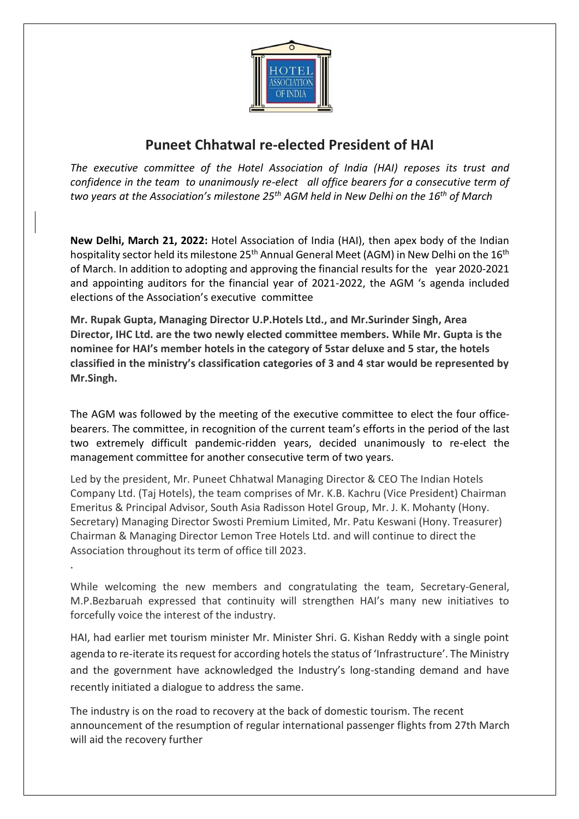

## **Puneet Chhatwal re-elected President of HAI**

*The executive committee of the Hotel Association of India (HAI) reposes its trust and confidence in the team to unanimously re-elect all office bearers for a consecutive term of two years at the Association's milestone 25th AGM held in New Delhi on the 16th of March*

**New Delhi, March 21, 2022:** Hotel Association of India (HAI), then apex body of the Indian hospitality sector held its milestone 25<sup>th</sup> Annual General Meet (AGM) in New Delhi on the 16<sup>th</sup> of March. In addition to adopting and approving the financial results for the year 2020-2021 and appointing auditors for the financial year of 2021-2022, the AGM 's agenda included elections of the Association's executive committee

**Mr. Rupak Gupta, Managing Director U.P.Hotels Ltd., and Mr.Surinder Singh, Area Director, IHC Ltd. are the two newly elected committee members. While Mr. Gupta is the nominee for HAI's member hotels in the category of 5star deluxe and 5 star, the hotels classified in the ministry's classification categories of 3 and 4 star would be represented by Mr.Singh.**

The AGM was followed by the meeting of the executive committee to elect the four officebearers. The committee, in recognition of the current team's efforts in the period of the last two extremely difficult pandemic-ridden years, decided unanimously to re-elect the management committee for another consecutive term of two years.

Led by the president, Mr. Puneet Chhatwal Managing Director & CEO The Indian Hotels Company Ltd. (Taj Hotels), the team comprises of Mr. K.B. Kachru (Vice President) Chairman Emeritus & Principal Advisor, South Asia Radisson Hotel Group, Mr. J. K. Mohanty (Hony. Secretary) Managing Director Swosti Premium Limited, Mr. Patu Keswani (Hony. Treasurer) Chairman & Managing Director Lemon Tree Hotels Ltd. and will continue to direct the Association throughout its term of office till 2023.

While welcoming the new members and congratulating the team, Secretary-General, M.P.Bezbaruah expressed that continuity will strengthen HAI's many new initiatives to forcefully voice the interest of the industry.

.

HAI, had earlier met tourism minister Mr. Minister Shri. G. Kishan Reddy with a single point agenda to re-iterate its request for according hotels the status of 'Infrastructure'. The Ministry and the government have acknowledged the Industry's long-standing demand and have recently initiated a dialogue to address the same.

The industry is on the road to recovery at the back of domestic tourism. The recent announcement of the resumption of regular international passenger flights from 27th March will aid the recovery further